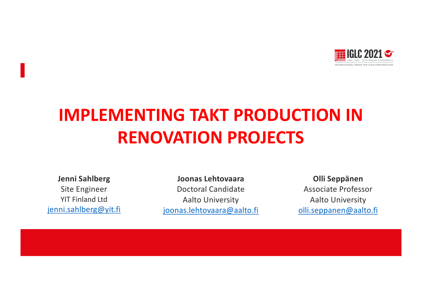

# **IMPLEMENTING TAKT PRODUCTION IN RENOVATION PROJECTS**

**Jenni Sahlberg** Site Engineer YIT Finland Ltd [jenni.sahlberg@](mailto:jenni.sahlberg@yit.fi)yit.fi

**Joonas Lehtovaara** Doctoral Candidate Aalto University [joonas.lehtovaara@a](mailto:joonas.lehtovaara@aalto.fi)alto.fi

**Olli Seppänen**  Associate Professor Aalto University [olli.seppanen@a](mailto:olli.seppanen@aalto.fi)alto.fi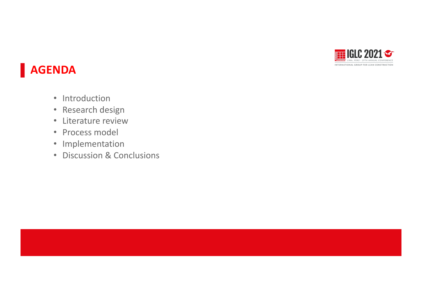

## **AGENDA**

- Introduction
- Research design
- Literature review
- Process model
- Implementation
- Discussion & Conclusions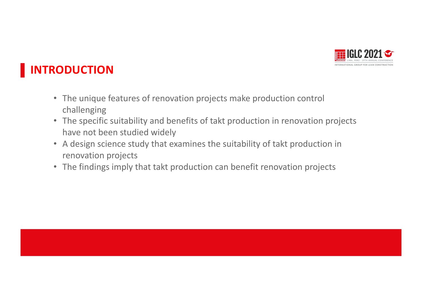

## **INTRODUCTION**

- The unique features of renovation projects make production control challenging
- The specific suitability and benefits of takt production in renovation projects have not been studied widely
- A design science study that examines the suitability of takt production in renovation projects Presentación Presentación
- The findings imply that takt production can benefit renovation projects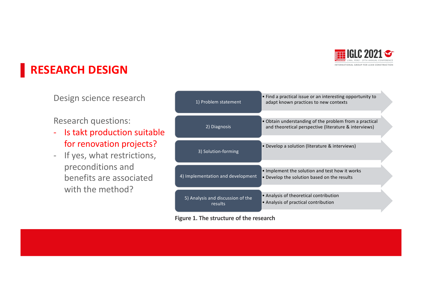

#### **RESEARCH DESIGN**

Design science research

#### Research questions:

- Is takt production suitable for renovation projects?
- If yes, what restrictions, preconditions and benefits are associated with the method?

| 1) Problem statement                         | • Find a practical issue or an interesting opportunity to<br>adapt known practices to new contexts              |  |
|----------------------------------------------|-----------------------------------------------------------------------------------------------------------------|--|
| 2) Diagnosis                                 | • Obtain understanding of the problem from a practical<br>and theoretical perspective (literature & interviews) |  |
| 3) Solution-forming                          | • Develop a solution (literature & interviews)                                                                  |  |
| 4) Implementation and development            | . Implement the solution and test how it works<br>• Develop the solution based on the results                   |  |
| 5) Analysis and discussion of the<br>results | • Analysis of theoretical contribution<br>• Analysis of practical contribution                                  |  |

#### **Figure 1. The structure of the research**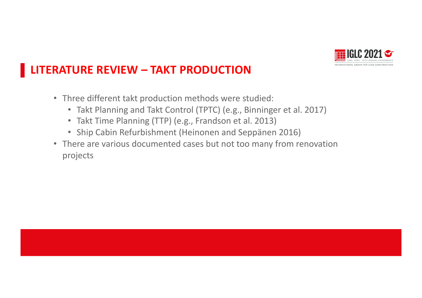

#### **LITERATURE REVIEW – TAKT PRODUCTION**

- Three different takt production methods were studied:
	- Takt Planning and Takt Control (TPTC) (e.g., Binninger et al. 2017)
	- Takt Time Planning (TTP) (e.g., Frandson et al. 2013)
	- Ship Cabin Refurbishment (Heinonen and Seppänen 2016)
- There are various documented cases but not too many from renovation projects en un anticológico de la projectiva de la projectiva de la projectiva de la projectiva de la projectiv<br>Presentación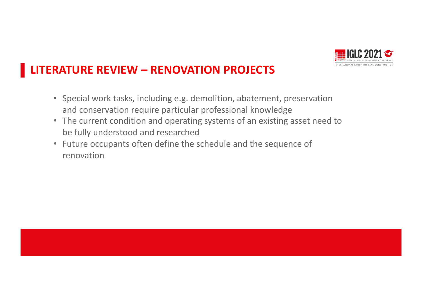

#### **LITERATURE REVIEW – RENOVATION PROJECTS**

- Special work tasks, including e.g. demolition, abatement, preservation and conservation require particular professional knowledge
- The current condition and operating systems of an existing asset need to be fully understood and researched
- Future occupants often define the schedule and the sequence of renovation Presentación Presentación Presentación Presentación Presentación Presentación Presentación Presenta<br>Presentación Presentación Presentación Presentación Presentación Presentación Presentación Presentación Presen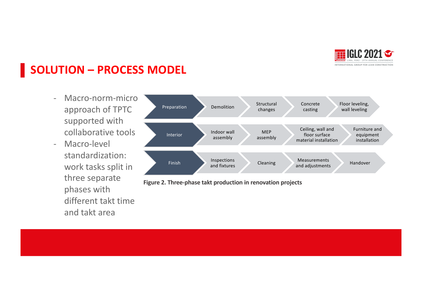

#### **SOLUTION – PROCESS MODEL**

- Macro-norm-micro approach of TPTC supported with collaborative tools
- Macro-level standardization: work tasks split in three separate phases with different takt time and takt area



**Figure 2. Three-phase takt production in renovation projects**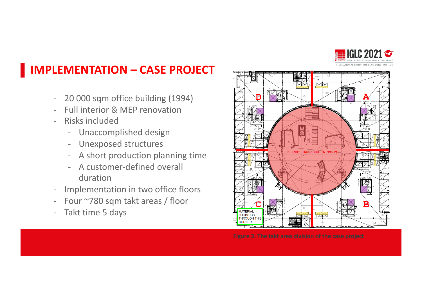

#### **IMPLEMENTATION – CASE PROJECT**

- 20 000 sqm office building (1994)
- Full interior & MEP renovation
- Risks included
	- Unaccomplished design
	- Unexposed structures
	- A short production planning time
	- A customer-defined overall duration
- Implementation in two office floors
- Four ~780 sqm takt areas / floor
- Takt time 5 days

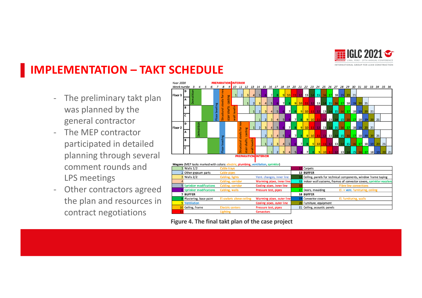

#### **IMPLEMENTATION – TAKT SCHEDULE**

- The preliminary takt plan was planned by the general contractor
- The MEP contractor participated in detailed planning through several comment rounds and LPS meetings
- Other contractors agreed the plan and resources in contract negotiations



| Wagons (MEP tasks marked with colors: r | plumbing, ventilation, sprinkler) |  |
|-----------------------------------------|-----------------------------------|--|

| 1 Walls 1/2                      | <b>Cable trays</b>       |                           |  | 12 Carpets                                                             |
|----------------------------------|--------------------------|---------------------------|--|------------------------------------------------------------------------|
| 2 Other gypsum parts             | Cable pipes              |                           |  | <b>13 BUFFER</b>                                                       |
| 3 Walls 2/2                      | Cabling, lights          | Vent. changes, inner line |  | Ceiling, panels for technical components, window frame taping          |
|                                  | Cabling, corridor        | Warming pipes, inner line |  | 15 Indoor wall systems, frames of convector covers, sprinkler nozzlers |
| <b>5</b> Sprinkler modifications | Cabling, corridor        | Cooling pipes, inner line |  | <b>Fibre line connections</b>                                          |
| Sprinkler modifications          | Cabling, walls           | Pressure test, pipes      |  | El. + vent. furnituring, ceiling<br>17 Doors, moulding                 |
| <b>7 BUFFER</b>                  |                          |                           |  | <b>18 BUFFER</b>                                                       |
| Plastering, base paint           | El.sockets above ceiling | Warming pipes, outer line |  | <b>EL furnituring, walls</b><br>19 Convector covers                    |
| 9 Ventilation                    |                          | Cooling pipes, outer line |  | 20 Furniture, equipment                                                |
| 10 Ceiling, frame                | <b>Electric centers</b>  | Pressure test, pipes      |  | 21 Ceiling, acoustic panels                                            |
|                                  | Lighting                 | <b>Convectors</b>         |  |                                                                        |

**Figure 4. The final takt plan of the case project**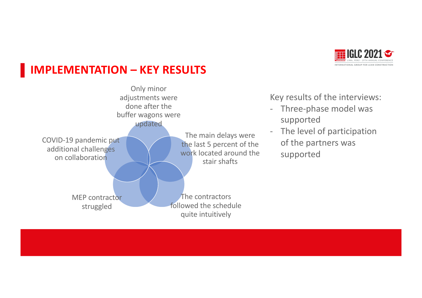## **IMPLEMENTATION – KEY RESULTS**





Key results of the interviews:

- Three-phase model was supported
- The level of participation of the partners was supported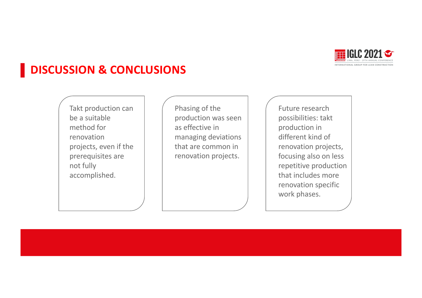

#### **DISCUSSION & CONCLUSIONS**

Takt production can be a suitable method for renovation projects, even if the prerequisites are not fully accomplished.

Phasing of the production was seen as effective in managing deviations that are common in renovation projects.

Future research possibilities: takt production in different kind of renovation projects, focusing also on less repetitive production that includes more renovation specific work phases.